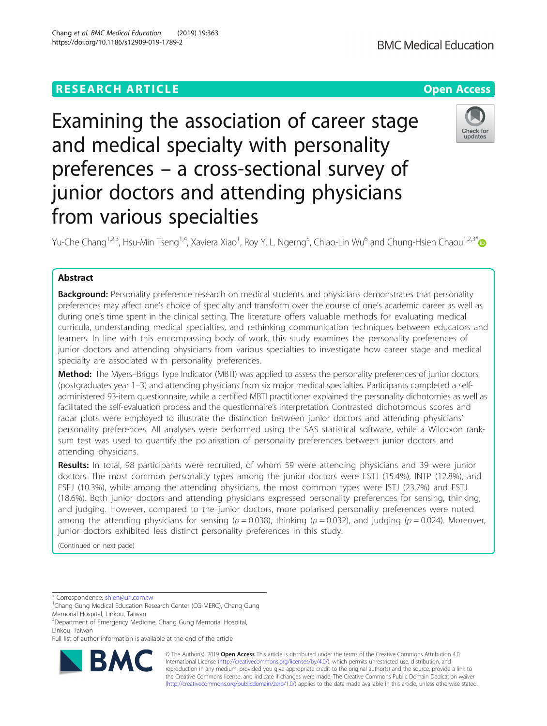# **RESEARCH ARTICLE Example 2014 12:30 The Contract of Contract ACCESS**

Examining the association of career stage and medical specialty with personality preferences – a cross-sectional survey of junior doctors and attending physicians from various specialties

Yu-Che Chang<sup>1,2,3</sup>, Hsu-Min Tseng<sup>1,4</sup>, Xaviera Xiao<sup>1</sup>, Roy Y. L. Ngerng<sup>5</sup>, Chiao-Lin Wu<sup>6</sup> and Chung-Hsien Chaou<sup>1,2,3\*</sup>

## Abstract

Background: Personality preference research on medical students and physicians demonstrates that personality preferences may affect one's choice of specialty and transform over the course of one's academic career as well as during one's time spent in the clinical setting. The literature offers valuable methods for evaluating medical curricula, understanding medical specialties, and rethinking communication techniques between educators and learners. In line with this encompassing body of work, this study examines the personality preferences of junior doctors and attending physicians from various specialties to investigate how career stage and medical specialty are associated with personality preferences.

Method: The Myers–Briggs Type Indicator (MBTI) was applied to assess the personality preferences of junior doctors (postgraduates year 1–3) and attending physicians from six major medical specialties. Participants completed a selfadministered 93-item questionnaire, while a certified MBTI practitioner explained the personality dichotomies as well as facilitated the self-evaluation process and the questionnaire's interpretation. Contrasted dichotomous scores and radar plots were employed to illustrate the distinction between junior doctors and attending physicians' personality preferences. All analyses were performed using the SAS statistical software, while a Wilcoxon ranksum test was used to quantify the polarisation of personality preferences between junior doctors and attending physicians.

Results: In total, 98 participants were recruited, of whom 59 were attending physicians and 39 were junior doctors. The most common personality types among the junior doctors were ESTJ (15.4%), INTP (12.8%), and ESFJ (10.3%), while among the attending physicians, the most common types were ISTJ (23.7%) and ESTJ (18.6%). Both junior doctors and attending physicians expressed personality preferences for sensing, thinking, and judging. However, compared to the junior doctors, more polarised personality preferences were noted among the attending physicians for sensing ( $p = 0.038$ ), thinking ( $p = 0.032$ ), and judging ( $p = 0.024$ ). Moreover, junior doctors exhibited less distinct personality preferences in this study.

(Continued on next page)

\* Correspondence: [shien@url.com.tw](mailto:shien@url.com.tw) <sup>1</sup>

<sup>1</sup>Chang Gung Medical Education Research Center (CG-MERC), Chang Gung Memorial Hospital, Linkou, Taiwan

2 Department of Emergency Medicine, Chang Gung Memorial Hospital, Linkou, Taiwan

Full list of author information is available at the end of the article

© The Author(s). 2019 **Open Access** This article is distributed under the terms of the Creative Commons Attribution 4.0 International License [\(http://creativecommons.org/licenses/by/4.0/](http://creativecommons.org/licenses/by/4.0/)), which permits unrestricted use, distribution, and reproduction in any medium, provided you give appropriate credit to the original author(s) and the source, provide a link to the Creative Commons license, and indicate if changes were made. The Creative Commons Public Domain Dedication waiver [\(http://creativecommons.org/publicdomain/zero/1.0/](http://creativecommons.org/publicdomain/zero/1.0/)) applies to the data made available in this article, unless otherwise stated.







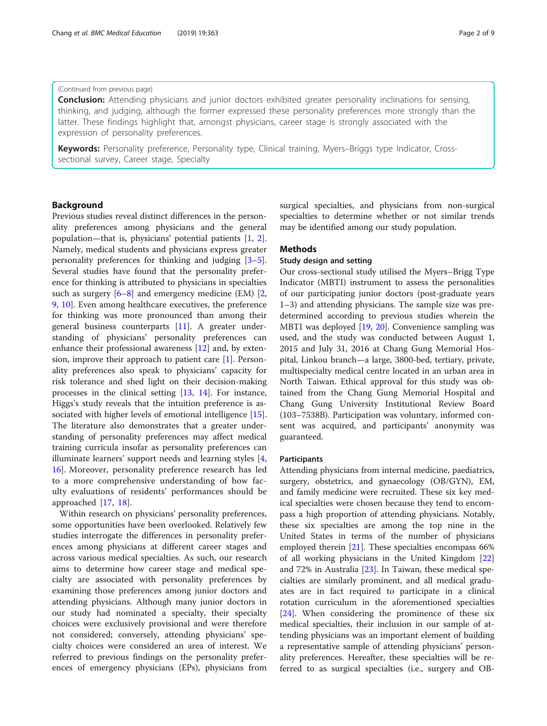#### (Continued from previous page)

**Conclusion:** Attending physicians and junior doctors exhibited greater personality inclinations for sensing, thinking, and judging, although the former expressed these personality preferences more strongly than the latter. These findings highlight that, amongst physicians, career stage is strongly associated with the expression of personality preferences.

Keywords: Personality preference, Personality type, Clinical training, Myers–Briggs type Indicator, Crosssectional survey, Career stage, Specialty

## Background

Previous studies reveal distinct differences in the personality preferences among physicians and the general population—that is, physicians' potential patients [\[1](#page-7-0), [2](#page-7-0)]. Namely, medical students and physicians express greater personality preferences for thinking and judging [\[3](#page-7-0)–[5](#page-7-0)]. Several studies have found that the personality preference for thinking is attributed to physicians in specialties such as surgery  $[6-8]$  $[6-8]$  $[6-8]$  and emergency medicine (EM)  $[2, 6]$  $[2, 6]$ [9,](#page-7-0) [10\]](#page-7-0). Even among healthcare executives, the preference for thinking was more pronounced than among their general business counterparts [[11\]](#page-7-0). A greater understanding of physicians' personality preferences can enhance their professional awareness [\[12](#page-7-0)] and, by extension, improve their approach to patient care [[1](#page-7-0)]. Personality preferences also speak to physicians' capacity for risk tolerance and shed light on their decision-making processes in the clinical setting [\[13](#page-7-0), [14\]](#page-7-0). For instance, Higgs's study reveals that the intuition preference is associated with higher levels of emotional intelligence [\[15](#page-7-0)]. The literature also demonstrates that a greater understanding of personality preferences may affect medical training curricula insofar as personality preferences can illuminate learners' support needs and learning styles [\[4](#page-7-0), [16\]](#page-7-0). Moreover, personality preference research has led to a more comprehensive understanding of how faculty evaluations of residents' performances should be approached [\[17](#page-7-0), [18](#page-7-0)].

Within research on physicians' personality preferences, some opportunities have been overlooked. Relatively few studies interrogate the differences in personality preferences among physicians at different career stages and across various medical specialties. As such, our research aims to determine how career stage and medical specialty are associated with personality preferences by examining those preferences among junior doctors and attending physicians. Although many junior doctors in our study had nominated a specialty, their specialty choices were exclusively provisional and were therefore not considered; conversely, attending physicians' specialty choices were considered an area of interest. We referred to previous findings on the personality preferences of emergency physicians (EPs), physicians from

surgical specialties, and physicians from non-surgical specialties to determine whether or not similar trends may be identified among our study population.

#### Methods

## Study design and setting

Our cross-sectional study utilised the Myers–Brigg Type Indicator (MBTI) instrument to assess the personalities of our participating junior doctors (post-graduate years 1–3) and attending physicians. The sample size was predetermined according to previous studies wherein the MBTI was deployed [[19,](#page-7-0) [20\]](#page-7-0). Convenience sampling was used, and the study was conducted between August 1, 2015 and July 31, 2016 at Chang Gung Memorial Hospital, Linkou branch—a large, 3800-bed, tertiary, private, multispecialty medical centre located in an urban area in North Taiwan. Ethical approval for this study was obtained from the Chang Gung Memorial Hospital and Chang Gung University Institutional Review Board (103–7538B). Participation was voluntary, informed consent was acquired, and participants' anonymity was guaranteed.

#### **Participants**

Attending physicians from internal medicine, paediatrics, surgery, obstetrics, and gynaecology (OB/GYN), EM, and family medicine were recruited. These six key medical specialties were chosen because they tend to encompass a high proportion of attending physicians. Notably, these six specialties are among the top nine in the United States in terms of the number of physicians employed therein [[21\]](#page-7-0). These specialties encompass 66% of all working physicians in the United Kingdom [[22](#page-7-0)] and 72% in Australia [[23\]](#page-7-0). In Taiwan, these medical specialties are similarly prominent, and all medical graduates are in fact required to participate in a clinical rotation curriculum in the aforementioned specialties [[24\]](#page-7-0). When considering the prominence of these six medical specialties, their inclusion in our sample of attending physicians was an important element of building a representative sample of attending physicians' personality preferences. Hereafter, these specialties will be referred to as surgical specialties (i.e., surgery and OB-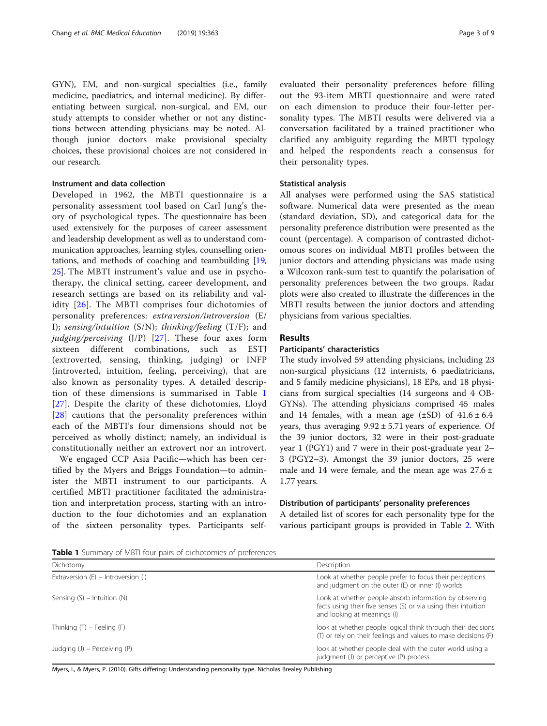GYN), EM, and non-surgical specialties (i.e., family medicine, paediatrics, and internal medicine). By differentiating between surgical, non-surgical, and EM, our study attempts to consider whether or not any distinctions between attending physicians may be noted. Although junior doctors make provisional specialty choices, these provisional choices are not considered in our research.

## Instrument and data collection

Developed in 1962, the MBTI questionnaire is a personality assessment tool based on Carl Jung's theory of psychological types. The questionnaire has been used extensively for the purposes of career assessment and leadership development as well as to understand communication approaches, learning styles, counselling orientations, and methods of coaching and teambuilding [[19](#page-7-0), [25](#page-7-0)]. The MBTI instrument's value and use in psychotherapy, the clinical setting, career development, and research settings are based on its reliability and validity [[26\]](#page-7-0). The MBTI comprises four dichotomies of personality preferences: extraversion/introversion (E/ I); sensing/intuition (S/N); thinking/feeling (T/F); and judging/perceiving  $(J/P)$  [[27\]](#page-7-0). These four axes form sixteen different combinations, such as ESTJ (extroverted, sensing, thinking, judging) or INFP (introverted, intuition, feeling, perceiving), that are also known as personality types. A detailed description of these dimensions is summarised in Table 1 [[27](#page-7-0)]. Despite the clarity of these dichotomies, Lloyd [[28](#page-7-0)] cautions that the personality preferences within each of the MBTI's four dimensions should not be perceived as wholly distinct; namely, an individual is constitutionally neither an extrovert nor an introvert.

We engaged CCP Asia Pacific—which has been certified by the Myers and Briggs Foundation—to administer the MBTI instrument to our participants. A certified MBTI practitioner facilitated the administration and interpretation process, starting with an introduction to the four dichotomies and an explanation of the sixteen personality types. Participants selfevaluated their personality preferences before filling out the 93-item MBTI questionnaire and were rated on each dimension to produce their four-letter personality types. The MBTI results were delivered via a conversation facilitated by a trained practitioner who clarified any ambiguity regarding the MBTI typology and helped the respondents reach a consensus for their personality types.

## Statistical analysis

All analyses were performed using the SAS statistical software. Numerical data were presented as the mean (standard deviation, SD), and categorical data for the personality preference distribution were presented as the count (percentage). A comparison of contrasted dichotomous scores on individual MBTI profiles between the junior doctors and attending physicians was made using a Wilcoxon rank-sum test to quantify the polarisation of personality preferences between the two groups. Radar plots were also created to illustrate the differences in the MBTI results between the junior doctors and attending physicians from various specialties.

## Results

## Participants' characteristics

The study involved 59 attending physicians, including 23 non-surgical physicians (12 internists, 6 paediatricians, and 5 family medicine physicians), 18 EPs, and 18 physicians from surgical specialties (14 surgeons and 4 OB-GYNs). The attending physicians comprised 45 males and 14 females, with a mean age  $(\pm SD)$  of  $41.6 \pm 6.4$ years, thus averaging  $9.92 \pm 5.71$  years of experience. Of the 39 junior doctors, 32 were in their post-graduate year 1 (PGY1) and 7 were in their post-graduate year 2– 3 (PGY2–3). Amongst the 39 junior doctors, 25 were male and 14 were female, and the mean age was  $27.6 \pm$ 1.77 years.

#### Distribution of participants' personality preferences

A detailed list of scores for each personality type for the various participant groups is provided in Table [2.](#page-3-0) With

Table 1 Summary of MBTI four pairs of dichotomies of preferences

| Dichotomy                             | Description                                                                                                                                             |
|---------------------------------------|---------------------------------------------------------------------------------------------------------------------------------------------------------|
| Extraversion $(E)$ – Introversion (I) | Look at whether people prefer to focus their perceptions<br>and judgment on the outer (E) or inner (I) worlds                                           |
| Sensing $(S)$ – Intuition $(N)$       | Look at whether people absorb information by observing<br>facts using their five senses (S) or via using their intuition<br>and looking at meanings (I) |
| Thinking $(T)$ – Feeling $(F)$        | look at whether people logical think through their decisions<br>(T) or rely on their feelings and values to make decisions (F)                          |
| Judging $(J)$ – Perceiving $(P)$      | look at whether people deal with the outer world using a<br>judgment (J) or perceptive (P) process.                                                     |

Myers, I., & Myers, P. (2010). Gifts differing: Understanding personality type. Nicholas Brealey Publishing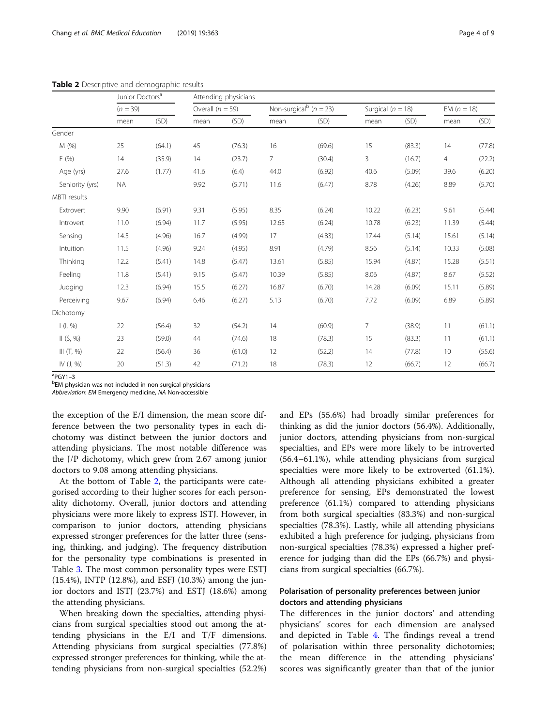|                 | Junior Doctors <sup>a</sup> |        | Attending physicians |        |                |                                        |                |                       |                |               |  |
|-----------------|-----------------------------|--------|----------------------|--------|----------------|----------------------------------------|----------------|-----------------------|----------------|---------------|--|
|                 | $(n = 39)$                  |        | Overall $(n = 59)$   |        |                | Non-surgical <sup>b</sup> ( $n = 23$ ) |                | Surgical ( $n = 18$ ) |                | EM $(n = 18)$ |  |
|                 | mean                        | (SD)   | mean                 | (SD)   | mean           | (SD)                                   | mean           | (SD)                  | mean           | (SD)          |  |
| Gender          |                             |        |                      |        |                |                                        |                |                       |                |               |  |
| M (%)           | 25                          | (64.1) | 45                   | (76.3) | 16             | (69.6)                                 | 15             | (83.3)                | 14             | (77.8)        |  |
| F(96)           | 14                          | (35.9) | 14                   | (23.7) | $\overline{7}$ | (30.4)                                 | 3              | (16.7)                | $\overline{4}$ | (22.2)        |  |
| Age (yrs)       | 27.6                        | (1.77) | 41.6                 | (6.4)  | 44.0           | (6.92)                                 | 40.6           | (5.09)                | 39.6           | (6.20)        |  |
| Seniority (yrs) | <b>NA</b>                   |        | 9.92                 | (5.71) | 11.6           | (6.47)                                 | 8.78           | (4.26)                | 8.89           | (5.70)        |  |
| MBTI results    |                             |        |                      |        |                |                                        |                |                       |                |               |  |
| Extrovert       | 9.90                        | (6.91) | 9.31                 | (5.95) | 8.35           | (6.24)                                 | 10.22          | (6.23)                | 9.61           | (5.44)        |  |
| Introvert       | 11.0                        | (6.94) | 11.7                 | (5.95) | 12.65          | (6.24)                                 | 10.78          | (6.23)                | 11.39          | (5.44)        |  |
| Sensing         | 14.5                        | (4.96) | 16.7                 | (4.99) | 17             | (4.83)                                 | 17.44          | (5.14)                | 15.61          | (5.14)        |  |
| Intuition       | 11.5                        | (4.96) | 9.24                 | (4.95) | 8.91           | (4.79)                                 | 8.56           | (5.14)                | 10.33          | (5.08)        |  |
| Thinking        | 12.2                        | (5.41) | 14.8                 | (5.47) | 13.61          | (5.85)                                 | 15.94          | (4.87)                | 15.28          | (5.51)        |  |
| Feeling         | 11.8                        | (5.41) | 9.15                 | (5.47) | 10.39          | (5.85)                                 | 8.06           | (4.87)                | 8.67           | (5.52)        |  |
| Judging         | 12.3                        | (6.94) | 15.5                 | (6.27) | 16.87          | (6.70)                                 | 14.28          | (6.09)                | 15.11          | (5.89)        |  |
| Perceiving      | 9.67                        | (6.94) | 6.46                 | (6.27) | 5.13           | (6.70)                                 | 7.72           | (6.09)                | 6.89           | (5.89)        |  |
| Dichotomy       |                             |        |                      |        |                |                                        |                |                       |                |               |  |
| $ ($ , % $) $   | 22                          | (56.4) | 32                   | (54.2) | 14             | (60.9)                                 | $\overline{7}$ | (38.9)                | 11             | (61.1)        |  |
| II (S, %)       | 23                          | (59.0) | 44                   | (74.6) | 18             | (78.3)                                 | 15             | (83.3)                | 11             | (61.1)        |  |
| III $(T, %)$    | 22                          | (56.4) | 36                   | (61.0) | 12             | (52.2)                                 | 14             | (77.8)                | 10             | (55.6)        |  |
| IV (J, %)       | 20                          | (51.3) | 42                   | (71.2) | 18             | (78.3)                                 | 12             | (66.7)                | 12             | (66.7)        |  |

<span id="page-3-0"></span>Table 2 Descriptive and demographic results

<sup>a</sup>PGY1–3<br><sup>b</sup>EM phu

EM physician was not included in non-surgical physicians

Abbreviation: EM Emergency medicine, NA Non-accessible

the exception of the E/I dimension, the mean score difference between the two personality types in each dichotomy was distinct between the junior doctors and attending physicians. The most notable difference was the J/P dichotomy, which grew from 2.67 among junior doctors to 9.08 among attending physicians.

At the bottom of Table 2, the participants were categorised according to their higher scores for each personality dichotomy. Overall, junior doctors and attending physicians were more likely to express ISTJ. However, in comparison to junior doctors, attending physicians expressed stronger preferences for the latter three (sensing, thinking, and judging). The frequency distribution for the personality type combinations is presented in Table [3.](#page-4-0) The most common personality types were ESTJ (15.4%), INTP (12.8%), and ESFJ (10.3%) among the junior doctors and ISTJ (23.7%) and ESTJ (18.6%) among the attending physicians.

When breaking down the specialties, attending physicians from surgical specialties stood out among the attending physicians in the E/I and T/F dimensions. Attending physicians from surgical specialties (77.8%) expressed stronger preferences for thinking, while the attending physicians from non-surgical specialties (52.2%) and EPs (55.6%) had broadly similar preferences for thinking as did the junior doctors (56.4%). Additionally, junior doctors, attending physicians from non-surgical specialties, and EPs were more likely to be introverted (56.4–61.1%), while attending physicians from surgical specialties were more likely to be extroverted (61.1%). Although all attending physicians exhibited a greater preference for sensing, EPs demonstrated the lowest preference (61.1%) compared to attending physicians from both surgical specialties (83.3%) and non-surgical specialties (78.3%). Lastly, while all attending physicians exhibited a high preference for judging, physicians from non-surgical specialties (78.3%) expressed a higher preference for judging than did the EPs (66.7%) and physicians from surgical specialties (66.7%).

## Polarisation of personality preferences between junior doctors and attending physicians

The differences in the junior doctors' and attending physicians' scores for each dimension are analysed and depicted in Table [4](#page-4-0). The findings reveal a trend of polarisation within three personality dichotomies; the mean difference in the attending physicians' scores was significantly greater than that of the junior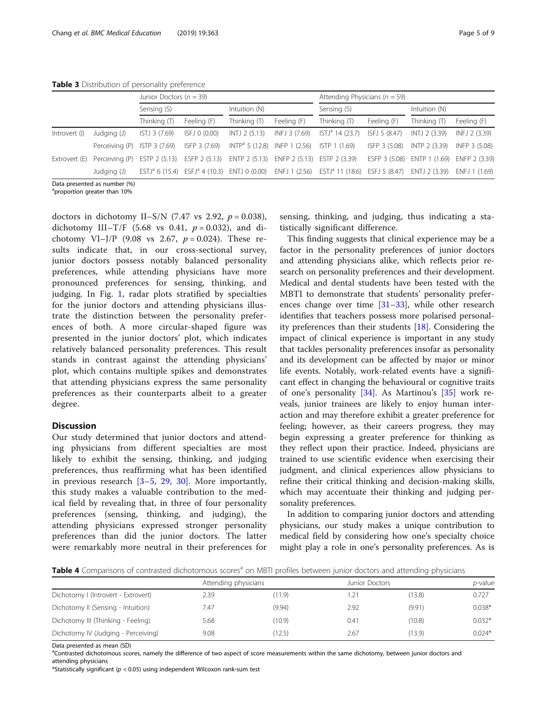<span id="page-4-0"></span>Table 3 Distribution of personality preference

|               |                              | Junior Doctors ( $n = 39$ ) |               |                                |               | Attending Physicians ( $n = 59$ )                                                                                                                       |               |                             |               |  |
|---------------|------------------------------|-----------------------------|---------------|--------------------------------|---------------|---------------------------------------------------------------------------------------------------------------------------------------------------------|---------------|-----------------------------|---------------|--|
|               |                              | Sensing (S)                 |               | Intuition (N)                  |               | Sensing (S)                                                                                                                                             |               | Intuition (N)               |               |  |
|               |                              | Thinking (T)                | Feeling (F)   | Thinking $(T)$                 | Feeling (F)   | Thinking (T)                                                                                                                                            | Feeling (F)   | Thinking $($ T)             | Feeling (F)   |  |
| Introvert (I) | Judging (J)                  | ISTJ 3 (7.69)               | ISFJ 0 (0.00) | INTJ 2 (5.13)                  | INFJ 3 (7.69) | $ISTJa$ 14 (23.7)                                                                                                                                       | ISFJ 5 (8.47) | INTJ 2 (3.39)               | INFJ 2 (3.39) |  |
|               | Perceiving (P) ISTP 3 (7.69) |                             | ISFP 3 (7.69) | $INTPa 5 (12.8)$ INFP 1 (2.56) |               | ISTP 1 (1.69)                                                                                                                                           | ISFP 3 (5.08) | INTP 2 (3.39)               | INFP 3 (5.08) |  |
| Extrovert (E) | Perceivina (P)               | ESTP 2 (5.13) ESFP 2 (5.13) |               | ENTP 2 (5.13)                  |               | ENFP 2 (5.13) ESTP 2 (3.39)                                                                                                                             | ESFP 3 (5.08) | ENTP 1 (1.69) ENFP 2 (3.39) |               |  |
|               | Judging (J)                  |                             |               |                                |               | ESTJ <sup>a</sup> 6 (15.4) ESFJ <sup>a</sup> 4 (10.3) ENTJ 0 (0.00) ENFJ 1 (2.56) ESTJ <sup>a</sup> 11 (18.6) ESFJ 5 (8.47) ENTJ 2 (3.39) ENFJ 1 (1.69) |               |                             |               |  |
|               | Data presented as number (%) |                             |               |                                |               |                                                                                                                                                         |               |                             |               |  |

a proportion greater than 10%

doctors in dichotomy II–S/N (7.47 vs 2.92,  $p = 0.038$ ), dichotomy III–T/F (5.68 vs 0.41,  $p = 0.032$ ), and dichotomy VI–J/P (9.08 vs 2.67,  $p = 0.024$ ). These results indicate that, in our cross-sectional survey, junior doctors possess notably balanced personality preferences, while attending physicians have more pronounced preferences for sensing, thinking, and judging. In Fig. [1](#page-5-0), radar plots stratified by specialties for the junior doctors and attending physicians illustrate the distinction between the personality preferences of both. A more circular-shaped figure was presented in the junior doctors' plot, which indicates relatively balanced personality preferences. This result stands in contrast against the attending physicians' plot, which contains multiple spikes and demonstrates that attending physicians express the same personality preferences as their counterparts albeit to a greater degree.

## **Discussion**

Our study determined that junior doctors and attending physicians from different specialties are most likely to exhibit the sensing, thinking, and judging preferences, thus reaffirming what has been identified in previous research [\[3](#page-7-0)–[5](#page-7-0), [29](#page-7-0), [30](#page-7-0)]. More importantly, this study makes a valuable contribution to the medical field by revealing that, in three of four personality preferences (sensing, thinking, and judging), the attending physicians expressed stronger personality preferences than did the junior doctors. The latter were remarkably more neutral in their preferences for sensing, thinking, and judging, thus indicating a statistically significant difference.

This finding suggests that clinical experience may be a factor in the personality preferences of junior doctors and attending physicians alike, which reflects prior research on personality preferences and their development. Medical and dental students have been tested with the MBTI to demonstrate that students' personality preferences change over time  $[31-33]$  $[31-33]$  $[31-33]$ , while other research identifies that teachers possess more polarised personality preferences than their students [[18\]](#page-7-0). Considering the impact of clinical experience is important in any study that tackles personality preferences insofar as personality and its development can be affected by major or minor life events. Notably, work-related events have a significant effect in changing the behavioural or cognitive traits of one's personality [[34\]](#page-8-0). As Martinou's [[35\]](#page-8-0) work reveals, junior trainees are likely to enjoy human interaction and may therefore exhibit a greater preference for feeling; however, as their careers progress, they may begin expressing a greater preference for thinking as they reflect upon their practice. Indeed, physicians are trained to use scientific evidence when exercising their judgment, and clinical experiences allow physicians to refine their critical thinking and decision-making skills, which may accentuate their thinking and judging personality preferences.

In addition to comparing junior doctors and attending physicians, our study makes a unique contribution to medical field by considering how one's specialty choice might play a role in one's personality preferences. As is

Table 4 Comparisons of contrasted dichotomous scores<sup>a</sup> on MBTI profiles between junior doctors and attending physicians

|                                     | Attending physicians |        | Junior Doctors |        | <i>p</i> -value |
|-------------------------------------|----------------------|--------|----------------|--------|-----------------|
| Dichotomy I (Introvert - Extrovert) | 2.39                 | (11.9) |                | (13.8) | 0.727           |
| Dichotomy II (Sensing - Intuition)  | 7.47                 | (9.94) | 2.92           | (9.91) | $0.038*$        |
| Dichotomy III (Thinking - Feeling)  | 5.68                 | (10.9) | 0.41           | (10.8) | $0.032*$        |
| Dichotomy IV (Judging - Perceiving) | 9.08                 | (12.5) | 2.67           | (13.9) | $0.024*$        |

Data presented as mean (SD)

<sup>a</sup>Contrasted dichotomous scores, namely the difference of two aspect of score measurements within the same dichotomy, between junior doctors and attending physicians

\*Statistically significant ( $p < 0.05$ ) using independent Wilcoxon rank-sum test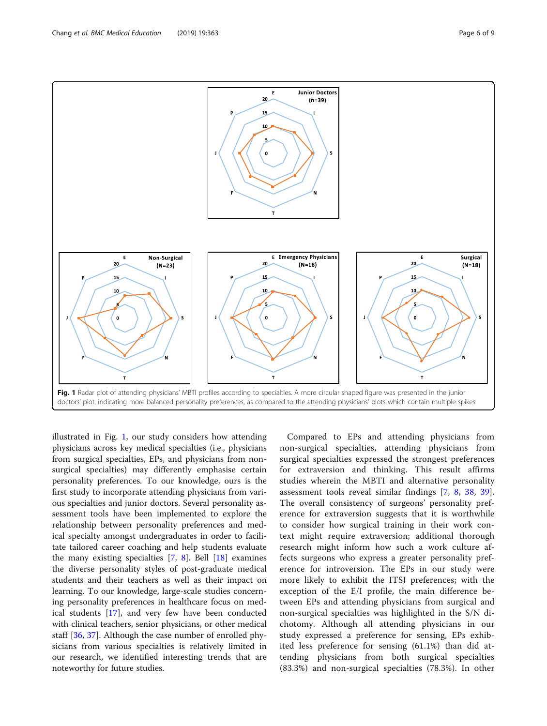<span id="page-5-0"></span>

illustrated in Fig. 1, our study considers how attending physicians across key medical specialties (i.e., physicians from surgical specialties, EPs, and physicians from nonsurgical specialties) may differently emphasise certain personality preferences. To our knowledge, ours is the first study to incorporate attending physicians from various specialties and junior doctors. Several personality assessment tools have been implemented to explore the relationship between personality preferences and medical specialty amongst undergraduates in order to facilitate tailored career coaching and help students evaluate the many existing specialties [[7,](#page-7-0) [8](#page-7-0)]. Bell [\[18\]](#page-7-0) examines the diverse personality styles of post-graduate medical students and their teachers as well as their impact on learning. To our knowledge, large-scale studies concerning personality preferences in healthcare focus on medical students [\[17](#page-7-0)], and very few have been conducted with clinical teachers, senior physicians, or other medical staff [[36,](#page-8-0) [37\]](#page-8-0). Although the case number of enrolled physicians from various specialties is relatively limited in our research, we identified interesting trends that are noteworthy for future studies.

Compared to EPs and attending physicians from non-surgical specialties, attending physicians from surgical specialties expressed the strongest preferences for extraversion and thinking. This result affirms studies wherein the MBTI and alternative personality assessment tools reveal similar findings [[7,](#page-7-0) [8,](#page-7-0) [38](#page-8-0), [39](#page-8-0)]. The overall consistency of surgeons' personality preference for extraversion suggests that it is worthwhile to consider how surgical training in their work context might require extraversion; additional thorough research might inform how such a work culture affects surgeons who express a greater personality preference for introversion. The EPs in our study were more likely to exhibit the ITSJ preferences; with the exception of the E/I profile, the main difference between EPs and attending physicians from surgical and non-surgical specialties was highlighted in the S/N dichotomy. Although all attending physicians in our study expressed a preference for sensing, EPs exhibited less preference for sensing (61.1%) than did attending physicians from both surgical specialties (83.3%) and non-surgical specialties (78.3%). In other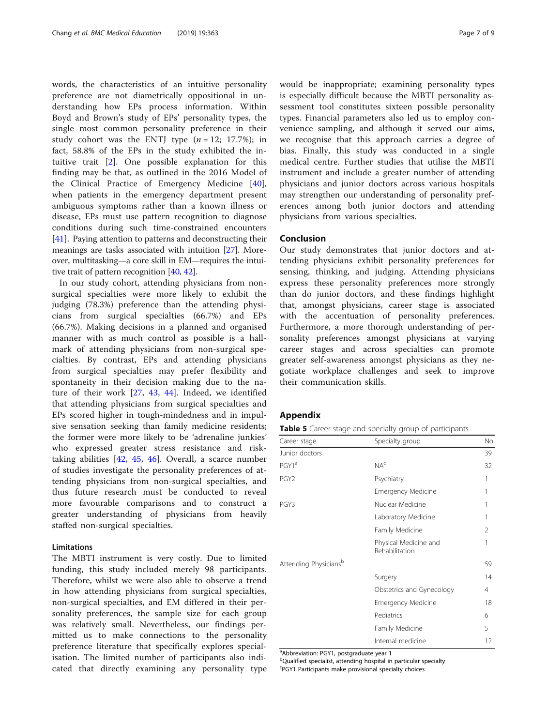words, the characteristics of an intuitive personality preference are not diametrically oppositional in understanding how EPs process information. Within Boyd and Brown's study of EPs' personality types, the single most common personality preference in their study cohort was the ENTJ type  $(n = 12; 17.7%)$ ; in fact, 58.8% of the EPs in the study exhibited the intuitive trait [[2\]](#page-7-0). One possible explanation for this finding may be that, as outlined in the 2016 Model of the Clinical Practice of Emergency Medicine [\[40](#page-8-0)], when patients in the emergency department present ambiguous symptoms rather than a known illness or disease, EPs must use pattern recognition to diagnose conditions during such time-constrained encounters [[41\]](#page-8-0). Paying attention to patterns and deconstructing their meanings are tasks associated with intuition [\[27\]](#page-7-0). Moreover, multitasking—a core skill in EM—requires the intuitive trait of pattern recognition [[40,](#page-8-0) [42\]](#page-8-0).

In our study cohort, attending physicians from nonsurgical specialties were more likely to exhibit the judging (78.3%) preference than the attending physicians from surgical specialties (66.7%) and EPs (66.7%). Making decisions in a planned and organised manner with as much control as possible is a hallmark of attending physicians from non-surgical specialties. By contrast, EPs and attending physicians from surgical specialties may prefer flexibility and spontaneity in their decision making due to the nature of their work [[27,](#page-7-0) [43](#page-8-0), [44](#page-8-0)]. Indeed, we identified that attending physicians from surgical specialties and EPs scored higher in tough-mindedness and in impulsive sensation seeking than family medicine residents; the former were more likely to be 'adrenaline junkies' who expressed greater stress resistance and risktaking abilities [[42,](#page-8-0) [45,](#page-8-0) [46\]](#page-8-0). Overall, a scarce number of studies investigate the personality preferences of attending physicians from non-surgical specialties, and thus future research must be conducted to reveal more favourable comparisons and to construct a greater understanding of physicians from heavily staffed non-surgical specialties.

## Limitations

The MBTI instrument is very costly. Due to limited funding, this study included merely 98 participants. Therefore, whilst we were also able to observe a trend in how attending physicians from surgical specialties, non-surgical specialties, and EM differed in their personality preferences, the sample size for each group was relatively small. Nevertheless, our findings permitted us to make connections to the personality preference literature that specifically explores specialisation. The limited number of participants also indicated that directly examining any personality type would be inappropriate; examining personality types is especially difficult because the MBTI personality assessment tool constitutes sixteen possible personality types. Financial parameters also led us to employ convenience sampling, and although it served our aims, we recognise that this approach carries a degree of bias. Finally, this study was conducted in a single medical centre. Further studies that utilise the MBTI instrument and include a greater number of attending physicians and junior doctors across various hospitals may strengthen our understanding of personality preferences among both junior doctors and attending physicians from various specialties.

## Conclusion

Our study demonstrates that junior doctors and attending physicians exhibit personality preferences for sensing, thinking, and judging. Attending physicians express these personality preferences more strongly than do junior doctors, and these findings highlight that, amongst physicians, career stage is associated with the accentuation of personality preferences. Furthermore, a more thorough understanding of personality preferences amongst physicians at varying career stages and across specialties can promote greater self-awareness amongst physicians as they negotiate workplace challenges and seek to improve their communication skills.

## Appendix

Table 5 Career stage and specialty group of participants

| Career stage          | Specialty group                         | No. |
|-----------------------|-----------------------------------------|-----|
| Junior doctors        |                                         | 39  |
| PGY1ª                 | NA <sup>c</sup>                         | 32  |
| PGY <sub>2</sub>      | Psychiatry                              | 1   |
|                       | <b>Emergency Medicine</b>               | 1   |
| PGY3                  | Nuclear Medicine                        | 1   |
|                       | Laboratory Medicine                     | 1   |
|                       | Family Medicine                         | 2   |
|                       | Physical Medicine and<br>Rehabilitation | 1   |
| Attending Physiciansb |                                         | 59  |
|                       | Surgery                                 | 14  |
|                       | Obstetrics and Gynecology               | 4   |
|                       | <b>Emergency Medicine</b>               | 18  |
|                       | Pediatrics                              | 6   |
|                       | Family Medicine                         | 5   |
|                       | Internal medicine                       | 12  |

<sup>a</sup> Abbreviation: PGY1, postgraduate year 1

**b**Qualified specialist, attending hospital in particular specialty

<sup>c</sup>PGY1 Participants make provisional specialty choices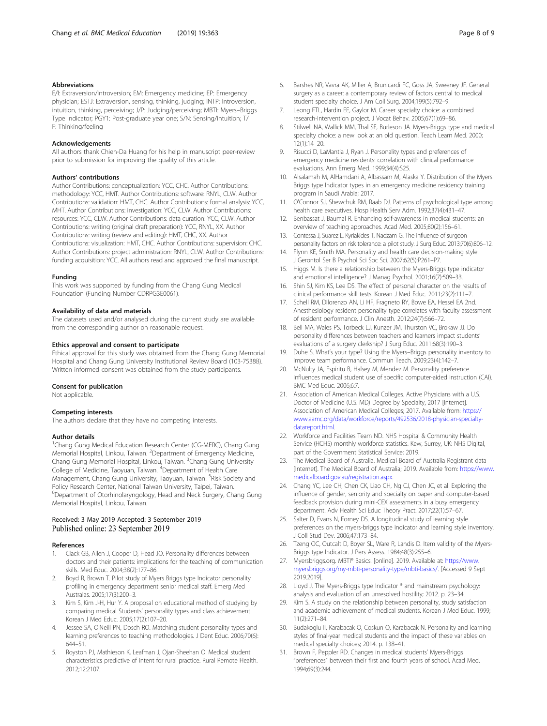#### <span id="page-7-0"></span>Abbreviations

E/I: Extraversion/introversion; EM: Emergency medicine; EP: Emergency physician; ESTJ: Extraversion, sensing, thinking, judging; INTP: Introversion, intuition, thinking, perceiving; J/P: Judging/perceiving; MBTI: Myers–Briggs Type Indicator; PGY1: Post-graduate year one; S/N: Sensing/intuition; T/ F: Thinking/feeling

#### Acknowledgements

All authors thank Chien-Da Huang for his help in manuscript peer-review prior to submission for improving the quality of this article.

#### Authors' contributions

Author Contributions: conceptualization: YCC, CHC. Author Contributions: methodology: YCC, HMT. Author Contributions: software: RNYL, CLW. Author Contributions: validation: HMT, CHC. Author Contributions: formal analysis: YCC, MHT. Author Contributions: investigation: YCC, CLW. Author Contributions: resources: YCC, CLW. Author Contributions: data curation: YCC, CLW. Author Contributions: writing (original draft preparation): YCC, RNYL, XX. Author Contributions: writing (review and editing): HMT, CHC, XX. Author Contributions: visualization: HMT, CHC. Author Contributions: supervision: CHC. Author Contributions: project administration: RNYL, CLW. Author Contributions: funding acquisition: YCC. All authors read and approved the final manuscript.

#### Funding

This work was supported by funding from the Chang Gung Medical Foundation (Funding Number CDRPG3E0061).

#### Availability of data and materials

The datasets used and/or analysed during the current study are available from the corresponding author on reasonable request.

#### Ethics approval and consent to participate

Ethical approval for this study was obtained from the Chang Gung Memorial Hospital and Chang Gung University Institutional Review Board (103-7538B). Written informed consent was obtained from the study participants.

#### Consent for publication

Not applicable.

#### Competing interests

The authors declare that they have no competing interests.

#### Author details

<sup>1</sup>Chang Gung Medical Education Research Center (CG-MERC), Chang Gung Memorial Hospital, Linkou, Taiwan. <sup>2</sup>Department of Emergency Medicine, Chang Gung Memorial Hospital, Linkou, Taiwan. <sup>3</sup>Chang Gung University College of Medicine, Taoyuan, Taiwan. <sup>4</sup> Department of Health Care Management, Chang Gung University, Taoyuan, Taiwan. <sup>5</sup>Risk Society and Policy Research Center, National Taiwan University, Taipei, Taiwan. 6 Department of Otorhinolaryngology, Head and Neck Surgery, Chang Gung Memorial Hospital, Linkou, Taiwan.

## Received: 3 May 2019 Accepted: 3 September 2019 Published online: 23 September 2019

#### References

- 1. Clack GB, Allen J, Cooper D, Head JO. Personality differences between doctors and their patients: implications for the teaching of communication skills. Med Educ. 2004;38(2):177–86.
- 2. Boyd R, Brown T. Pilot study of Myers Briggs type Indicator personality profiling in emergency department senior medical staff. Emerg Med Australas. 2005;17(3):200–3.
- 3. Kim S, Kim J-H, Hur Y. A proposal on educational method of studying by comparing medical Students' personality types and class achievement. Korean J Med Educ. 2005;17(2):107–20.
- 4. Jessee SA, O'Neill PN, Dosch RO. Matching student personality types and learning preferences to teaching methodologies. J Dent Educ. 2006;70(6): 644–51.
- 5. Royston PJ, Mathieson K, Leafman J, Ojan-Sheehan O. Medical student characteristics predictive of intent for rural practice. Rural Remote Health. 2012;12:2107.
- 6. Barshes NR, Vavra AK, Miller A, Brunicardi FC, Goss JA, Sweeney JF. General surgery as a career: a contemporary review of factors central to medical student specialty choice. J Am Coll Surg. 2004;199(5):792–9.
- 7. Leong FTL, Hardin EE, Gaylor M. Career specialty choice: a combined research-intervention project. J Vocat Behav. 2005;67(1):69–86.
- 8. Stilwell NA, Wallick MM, Thal SE, Burleson JA. Myers-Briggs type and medical specialty choice: a new look at an old question. Teach Learn Med. 2000;  $12(1):14-20$
- 9. Risucci D, LaMantia J, Ryan J. Personality types and preferences of emergency medicine residents: correlation with clinical performance evaluations. Ann Emerg Med. 1999;34(4):S25.
- 10. Alsalamah M, AlHamdani A, Albassam M, Alaska Y. Distribution of the Myers Briggs type Indicator types in an emergency medicine residency training program in Saudi Arabia; 2017.
- 11. O'Connor SJ, Shewchuk RM, Raab DJ. Patterns of psychological type among health care executives. Hosp Health Serv Adm. 1992;37(4):431–47.
- 12. Benbassat J, Baumal R. Enhancing self-awareness in medical students: an overview of teaching approaches. Acad Med. 2005;80(2):156–61.
- 13. Contessa J, Suarez L, Kyriakides T, Nadzam G. The influence of surgeon personality factors on risk tolerance: a pilot study. J Surg Educ. 2013;70(6):806–12.
- 14. Flynn KE, Smith MA. Personality and health care decision-making style. J Gerontol Ser B Psychol Sci Soc Sci. 2007;62(5):P261–P7.
- 15. Higgs M. Is there a relationship between the Myers-Briggs type indicator and emotional intelligence? J Manag Psychol. 2001;16(7):509–33.
- 16. Shin SJ, Kim KS, Lee DS. The effect of personal character on the results of clinical performance skill tests. Korean J Med Educ. 2011;23(2):111–7.
- 17. Schell RM, Dilorenzo AN, Li HF, Fragneto RY, Bowe EA, Hessel EA 2nd. Anesthesiology resident personality type correlates with faculty assessment of resident performance. J Clin Anesth. 2012;24(7):566–72.
- 18. Bell MA, Wales PS, Torbeck LJ, Kunzer JM, Thurston VC, Brokaw JJ. Do personality differences between teachers and learners impact students' evaluations of a surgery clerkship? J Surg Educ. 2011;68(3):190–3.
- 19. Duhe S. What's your type? Using the Myers–Briggs personality inventory to improve team performance. Commun Teach. 2009;23(4):142–7.
- 20. McNulty JA, Espiritu B, Halsey M, Mendez M. Personality preference influences medical student use of specific computer-aided instruction (CAI). BMC Med Educ. 2006;6:7.
- 21. Association of American Medical Colleges. Active Physicians with a U.S. Doctor of Medicine (U.S. MD) Degree by Specialty, 2017 [Internet]. Association of American Medical Colleges; 2017. Available from: [https://](https://www.aamc.org/data/workforce/reports/492536/2018-physician-specialty-datareport.html) [www.aamc.org/data/workforce/reports/492536/2018-physician-specialty](https://www.aamc.org/data/workforce/reports/492536/2018-physician-specialty-datareport.html)[datareport.html.](https://www.aamc.org/data/workforce/reports/492536/2018-physician-specialty-datareport.html)
- 22. Workforce and Facilities Team ND. NHS Hospital & Community Health Service (HCHS) monthly workforce statistics. Kew, Surrey, UK: NHS Digital, part of the Government Statistical Service; 2019.
- 23. The Medical Board of Australia. Medical Board of Australia Registrant data [Internet]. The Medical Board of Australia; 2019. Available from: [https://www.](https://www.medicalboard.gov.au/registration.aspx) [medicalboard.gov.au/registration.aspx](https://www.medicalboard.gov.au/registration.aspx).
- 24. Chang YC, Lee CH, Chen CK, Liao CH, Ng CJ, Chen JC, et al. Exploring the influence of gender, seniority and specialty on paper and computer-based feedback provision during mini-CEX assessments in a busy emergency department. Adv Health Sci Educ Theory Pract. 2017;22(1):57–67.
- 25. Salter D, Evans N, Forney DS. A longitudinal study of learning style preferences on the myers-briggs type indicator and learning style inventory. J Coll Stud Dev. 2006;47:173–84.
- 26. Tzeng OC, Outcalt D, Boyer SL, Ware R, Landis D. Item validity of the Myers-Briggs type Indicator. J Pers Assess. 1984;48(3):255–6.
- 27. Myersbriggs.org. MBTI® Basics. [online]. 2019. Available at: [https://www.](https://www.myersbriggs.org/my-mbti-personality-type/mbti-basics/) [myersbriggs.org/my-mbti-personality-type/mbti-basics/.](https://www.myersbriggs.org/my-mbti-personality-type/mbti-basics/) [Accessed 9 Sept 2019.2019].
- 28. Lloyd J. The Myers-Briggs type Indicator ® and mainstream psychology: analysis and evaluation of an unresolved hostility; 2012. p. 23–34.
- 29. Kim S. A study on the relationship between personality, study satisfaction and academic achievement of medical students. Korean J Med Educ. 1999; 11(2):271–84.
- 30. Budakoglu II, Karabacak O, Coskun O, Karabacak N. Personality and learning styles of final-year medical students and the impact of these variables on medical specialty choices; 2014. p. 138–41.
- 31. Brown F, Peppler RD. Changes in medical students' Myers-Briggs "preferences" between their first and fourth years of school. Acad Med. 1994;69(3):244.